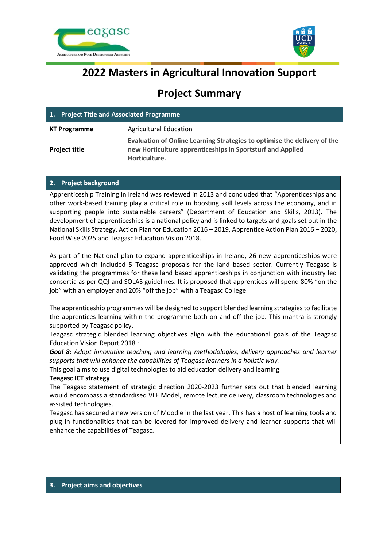



# **2022 Masters in Agricultural Innovation Support**

## **Project Summary**

| 1. Project Title and Associated Programme |                                                                                                                                                         |
|-------------------------------------------|---------------------------------------------------------------------------------------------------------------------------------------------------------|
| <b>KT Programme</b>                       | <b>Agricultural Education</b>                                                                                                                           |
| <b>Project title</b>                      | Evaluation of Online Learning Strategies to optimise the delivery of the<br>new Horticulture apprenticeships in Sportsturf and Applied<br>Horticulture. |

## **2. Project background**

Apprenticeship Training in Ireland was reviewed in 2013 and concluded that "Apprenticeships and other work-based training play a critical role in boosting skill levels across the economy, and in supporting people into sustainable careers" (Department of Education and Skills, 2013). The development of apprenticeships is a national policy and is linked to targets and goals set out in the National Skills Strategy, Action Plan for Education 2016 – 2019, Apprentice Action Plan 2016 – 2020, Food Wise 2025 and Teagasc Education Vision 2018.

As part of the National plan to expand apprenticeships in Ireland, 26 new apprenticeships were approved which included 5 Teagasc proposals for the land based sector. Currently Teagasc is validating the programmes for these land based apprenticeships in conjunction with industry led consortia as per QQI and SOLAS guidelines. It is proposed that apprentices will spend 80% "on the job" with an employer and 20% "off the job" with a Teagasc College.

The apprenticeship programmes will be designed to support blended learning strategies to facilitate the apprentices learning within the programme both on and off the job. This mantra is strongly supported by Teagasc policy.

Teagasc strategic blended learning objectives align with the educational goals of the Teagasc Education Vision Report 2018 :

*Goal 8: Adopt innovative teaching and learning methodologies, delivery approaches and learner supports that will enhance the capabilities of Teagasc learners in a holistic way.*

This goal aims to use digital technologies to aid education delivery and learning.

## **Teagasc ICT strategy**

The Teagasc statement of strategic direction 2020-2023 further sets out that blended learning would encompass a standardised VLE Model, remote lecture delivery, classroom technologies and assisted technologies.

Teagasc has secured a new version of Moodle in the last year. This has a host of learning tools and plug in functionalities that can be levered for improved delivery and learner supports that will enhance the capabilities of Teagasc.